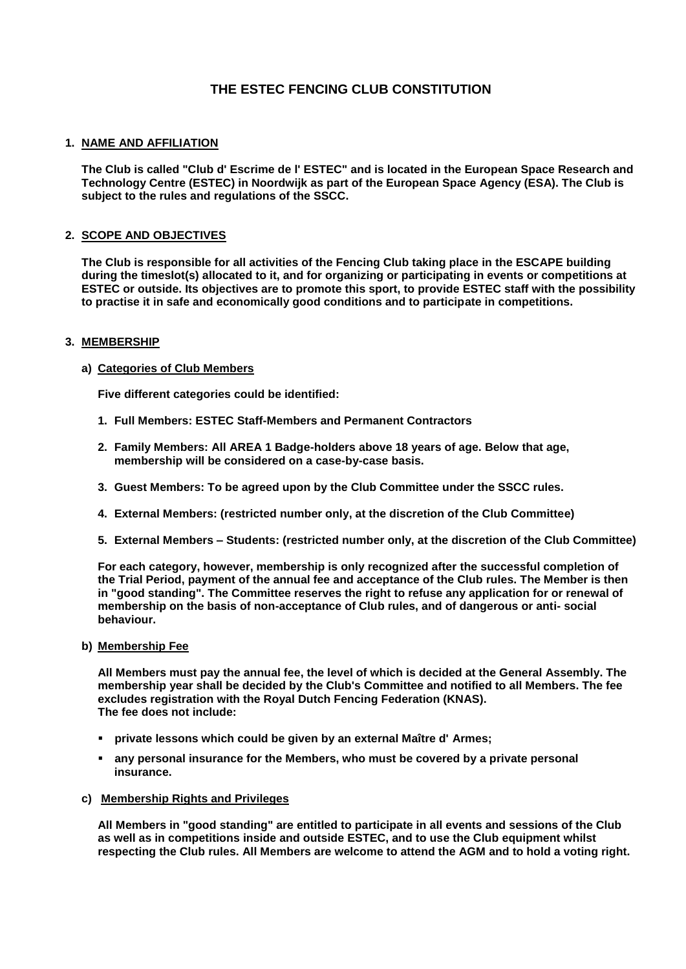# **THE ESTEC FENCING CLUB CONSTITUTION**

## **1. NAME AND AFFILIATION**

**The Club is called "Club d' Escrime de l' ESTEC" and is located in the European Space Research and Technology Centre (ESTEC) in Noordwijk as part of the European Space Agency (ESA). The Club is subject to the rules and regulations of the SSCC.** 

## **2. SCOPE AND OBJECTIVES**

**The Club is responsible for all activities of the Fencing Club taking place in the ESCAPE building during the timeslot(s) allocated to it, and for organizing or participating in events or competitions at ESTEC or outside. Its objectives are to promote this sport, to provide ESTEC staff with the possibility to practise it in safe and economically good conditions and to participate in competitions.** 

#### **3. MEMBERSHIP**

## **a) Categories of Club Members**

**Five different categories could be identified:** 

- **1. Full Members: ESTEC Staff-Members and Permanent Contractors**
- **2. Family Members: All AREA 1 Badge-holders above 18 years of age. Below that age, membership will be considered on a case-by-case basis.**
- **3. Guest Members: To be agreed upon by the Club Committee under the SSCC rules.**
- **4. External Members: (restricted number only, at the discretion of the Club Committee)**
- **5. External Members – Students: (restricted number only, at the discretion of the Club Committee)**

**For each category, however, membership is only recognized after the successful completion of the Trial Period, payment of the annual fee and acceptance of the Club rules. The Member is then in "good standing". The Committee reserves the right to refuse any application for or renewal of membership on the basis of non-acceptance of Club rules, and of dangerous or anti- social behaviour.** 

**b) Membership Fee** 

**All Members must pay the annual fee, the level of which is decided at the General Assembly. The membership year shall be decided by the Club's Committee and notified to all Members. The fee excludes registration with the Royal Dutch Fencing Federation (KNAS). The fee does not include:** 

- **private lessons which could be given by an external Maître d' Armes;**
- **any personal insurance for the Members, who must be covered by a private personal insurance.**
- **c) Membership Rights and Privileges**

**All Members in "good standing" are entitled to participate in all events and sessions of the Club as well as in competitions inside and outside ESTEC, and to use the Club equipment whilst respecting the Club rules. All Members are welcome to attend the AGM and to hold a voting right.**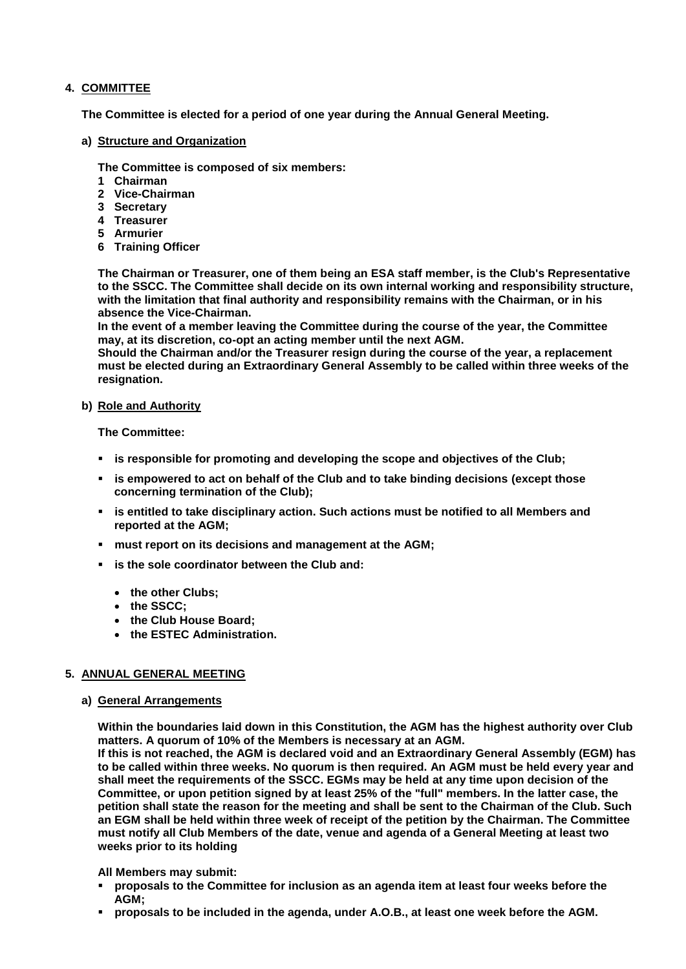## **4. COMMITTEE**

**The Committee is elected for a period of one year during the Annual General Meeting.** 

#### **a) Structure and Organization**

**The Committee is composed of six members:**

- **1 Chairman**
- **2 Vice-Chairman**
- **3 Secretary**
- **4 Treasurer**
- **5 Armurier**
- **6 Training Officer**

**The Chairman or Treasurer, one of them being an ESA staff member, is the Club's Representative to the SSCC. The Committee shall decide on its own internal working and responsibility structure, with the limitation that final authority and responsibility remains with the Chairman, or in his absence the Vice-Chairman.**

**In the event of a member leaving the Committee during the course of the year, the Committee may, at its discretion, co-opt an acting member until the next AGM.**

**Should the Chairman and/or the Treasurer resign during the course of the year, a replacement must be elected during an Extraordinary General Assembly to be called within three weeks of the resignation.** 

#### **b) Role and Authority**

**The Committee:**

- **is responsible for promoting and developing the scope and objectives of the Club;**
- **is empowered to act on behalf of the Club and to take binding decisions (except those concerning termination of the Club);**
- **is entitled to take disciplinary action. Such actions must be notified to all Members and reported at the AGM;**
- **must report on its decisions and management at the AGM;**
- **is the sole coordinator between the Club and:**
	- **the other Clubs;**
	- **the SSCC;**
	- **the Club House Board;**
	- **the ESTEC Administration.**

## **5. ANNUAL GENERAL MEETING**

#### **a) General Arrangements**

**Within the boundaries laid down in this Constitution, the AGM has the highest authority over Club matters. A quorum of 10% of the Members is necessary at an AGM.**

**If this is not reached, the AGM is declared void and an Extraordinary General Assembly (EGM) has to be called within three weeks. No quorum is then required. An AGM must be held every year and shall meet the requirements of the SSCC. EGMs may be held at any time upon decision of the Committee, or upon petition signed by at least 25% of the "full" members. In the latter case, the petition shall state the reason for the meeting and shall be sent to the Chairman of the Club. Such an EGM shall be held within three week of receipt of the petition by the Chairman. The Committee must notify all Club Members of the date, venue and agenda of a General Meeting at least two weeks prior to its holding**

#### **All Members may submit:**

- **proposals to the Committee for inclusion as an agenda item at least four weeks before the AGM;**
- **proposals to be included in the agenda, under A.O.B., at least one week before the AGM.**